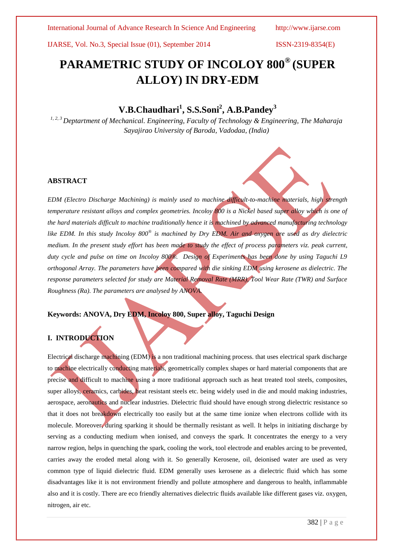# **PARAMETRIC STUDY OF INCOLOY 800® (SUPER ALLOY) IN DRY-EDM**

# **V.B.Chaudhari<sup>1</sup> , S.S.Soni<sup>2</sup> , A.B.Pandey<sup>3</sup>**

*1, 2, 3 Deptartment of Mechanical. Engineering, Faculty of Technology & Engineering, The Maharaja Sayajirao University of Baroda, Vadodaa, (India)*

# **ABSTRACT**

*EDM (Electro Discharge Machining) is mainly used to machine difficult-to-machine materials, high strength temperature resistant alloys and complex geometries. Incoloy 800 is a Nickel based super alloy which is one of the hard materials difficult to machine traditionally hence it is machined by advanced manufacturing technology like EDM. In this study Incoloy 800® is machined by Dry EDM. Air and oxygen are used as dry dielectric medium. In the present study effort has been made to study the effect of process parameters viz. peak current, duty cycle and pulse on time on Incoloy 800®. Design of Experiments has been done by using Taguchi L9 orthogonal Array. The parameters have been compared with die sinking EDM using kerosene as dielectric. The response parameters selected for study are Material Removal Rate (MRR), Tool Wear Rate (TWR) and Surface Roughness (Ra). The parameters are analysed by ANOVA.*

**Keywords: ANOVA, Dry EDM, Incoloy 800, Super alloy, Taguchi Design**

# **I. INTRODUCTION**

Electrical discharge machining (EDM) is a non traditional machining process. that uses electrical spark discharge to machine electrically conducting materials, geometrically complex shapes or hard material components that are precise and difficult to machine using a more traditional approach such as heat treated tool steels, composites, super alloys, ceramics, carbides, heat resistant steels etc. being widely used in die and mould making industries, aerospace, aeronautics and nuclear industries. Dielectric fluid should have enough strong dielectric resistance so that it does not breakdown electrically too easily but at the same time ionize when electrons collide with its molecule. Moreover, during sparking it should be thermally resistant as well. It helps in initiating discharge by serving as a conducting medium when ionised, and conveys the spark. It concentrates the energy to a very narrow region, helps in quenching the spark, cooling the work, tool electrode and enables arcing to be prevented, carries away the eroded metal along with it. So generally Kerosene, oil, deionised water are used as very common type of liquid dielectric fluid. EDM generally uses kerosene as a dielectric fluid which has some disadvantages like it is not environment friendly and pollute atmosphere and dangerous to health, inflammable also and it is costly. There are eco friendly alternatives dielectric fluids available like different gases viz. oxygen, nitrogen, air etc.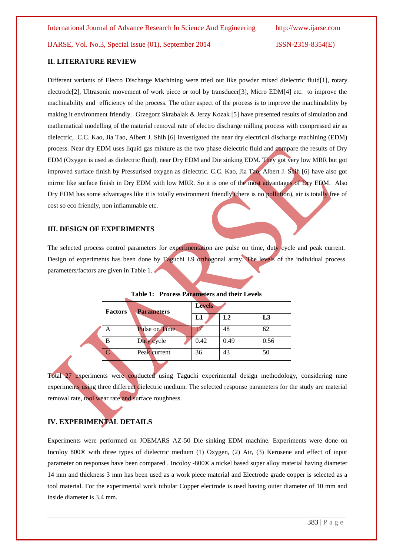# **II. LITERATURE REVIEW**

Different variants of Elecro Discharge Machining were tried out like powder mixed dielectric fluid[1], rotary electrode<sup>[2]</sup>, Ultrasonic movement of work piece or tool by transducer<sup>[3]</sup>, Micro EDM<sup>[4]</sup> etc. to improve the machinability and efficiency of the process. The other aspect of the process is to improve the machinability by making it environment friendly. Grzegorz Skrabalak & Jerzy Kozak [5] have presented results of simulation and mathematical modelling of the material removal rate of electro discharge milling process with compressed air as dielectric, C.C. Kao, Jia Tao, Albert J. Shih [6] investigated the near dry electrical discharge machining (EDM) process. Near dry EDM uses liquid gas mixture as the two phase dielectric fluid and compare the results of Dry EDM (Oxygen is used as dielectric fluid), near Dry EDM and Die sinking EDM. They got very low MRR but got improved surface finish by Pressurised oxygen as dielectric. C.C. Kao, Jia Tao, Albert J. Shih [6] have also got mirror like surface finish in Dry EDM with low MRR. So it is one of the most advantages of Dry EDM. Also Dry EDM has some advantages like it is totally environment friendly (there is no pollution), air is totally free of cost so eco friendly, non inflammable etc.

# **III. DESIGN OF EXPERIMENTS**

The selected process control parameters for experimentation are pulse on time, duty cycle and peak current. Design of experiments has been done by Taguchi L9 orthogonal array. The levels of the individual process parameters/factors are given in Table 1.

|  | <b>Factors</b> | <b>Parameters</b> | <b>Levels</b> |      |                |  |
|--|----------------|-------------------|---------------|------|----------------|--|
|  |                |                   | L1            | L2   | L <sub>3</sub> |  |
|  |                | Pulse on Time     |               | 48   | 62             |  |
|  | B              | Duty cycle        | 0.42          | 0.49 | 0.56           |  |
|  |                | Peak current      | 36            | 43   | 50             |  |

**Table 1: Process Parameters and their Levels**

Total 27 experiments were conducted using Taguchi experimental design methodology, considering nine experiments using three different dielectric medium. The selected response parameters for the study are material removal rate, tool wear rate and surface roughness.

# **IV. EXPERIMENTAL DETAILS**

Experiments were performed on JOEMARS AZ-50 Die sinking EDM machine. Experiments were done on Incoloy 800® with three types of dielectric medium (1) Oxygen, (2) Air, (3) Kerosene and effect of input parameter on responses have been compared . Incoloy -800® a nickel based super alloy material having diameter 14 mm and thickness 3 mm has been used as a work piece material and Electrode grade copper is selected as a tool material. For the experimental work tubular Copper electrode is used having outer diameter of 10 mm and inside diameter is 3.4 mm.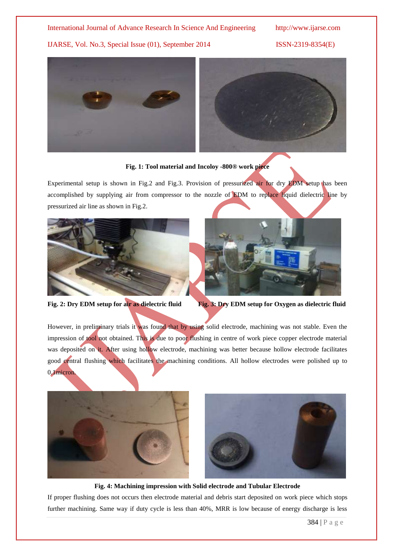



# **Fig. 1: Tool material and Incoloy -800® work piece**

Experimental setup is shown in Fig.2 and Fig.3. Provision of pressurized air for dry EDM setup has been accomplished by supplying air from compressor to the nozzle of EDM to replace liquid dielectric line by pressurized air line as shown in Fig.2.





**Fig. 2: Dry EDM setup for air as dielectric fluid Fig. 3: Dry EDM setup for Oxygen as dielectric fluid**

However, in preliminary trials it was found that by using solid electrode, machining was not stable. Even the impression of tool not obtained. This is due to poor flushing in centre of work piece copper electrode material was deposited on it. After using hollow electrode, machining was better because hollow electrode facilitates good central flushing which facilitates the machining conditions. All hollow electrodes were polished up to 0.1micron.





**Fig. 4: Machining impression with Solid electrode and Tubular Electrode**

If proper flushing does not occurs then electrode material and debris start deposited on work piece which stops further machining. Same way if duty cycle is less than 40%, MRR is low because of energy discharge is less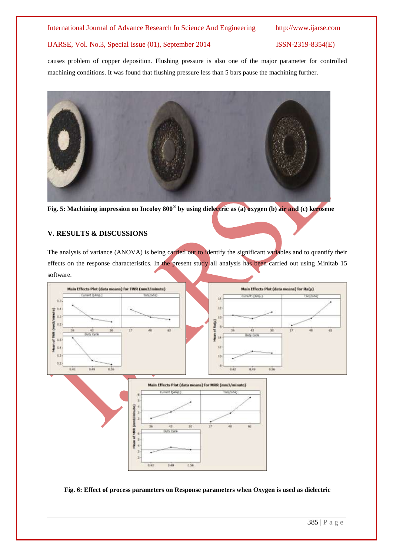causes problem of copper deposition. Flushing pressure is also one of the major parameter for controlled machining conditions. It was found that flushing pressure less than 5 bars pause the machining further.



**Fig. 5: Machining impression on Incoloy 800® by using dielectric as (a) oxygen (b) air and (c) kerosene**

# **V. RESULTS & DISCUSSIONS**

The analysis of variance (ANOVA) is being carried out to identify the significant variables and to quantify their effects on the response characteristics. In the present study all analysis has been carried out using Minitab 15 software.





**Fig. 6: Effect of process parameters on Response parameters when Oxygen is used as dielectric**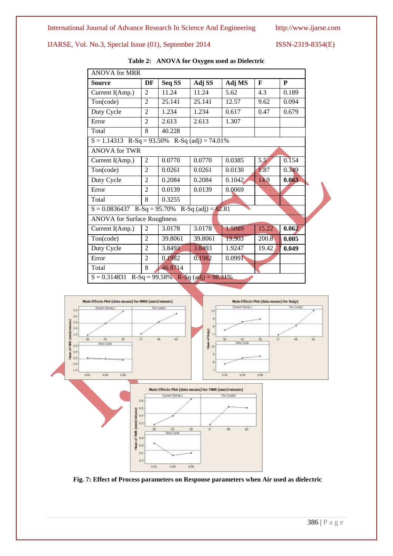| <b>ANOVA for MRR</b>                             |                |                                        |         |        |              |           |
|--------------------------------------------------|----------------|----------------------------------------|---------|--------|--------------|-----------|
| <b>Source</b>                                    | DF             | Seq SS                                 | Adj SS  | Adj MS | $\mathbf{F}$ | ${\bf P}$ |
| Current I(Amp.)                                  | 2              | 11.24                                  | 11.24   | 5.62   | 4.3          | 0.189     |
| Ton(code)                                        | $\overline{2}$ | 25.141                                 | 25.141  | 12.57  | 9.62         | 0.094     |
| Duty Cycle                                       | $\overline{2}$ | 1.234                                  | 1.234   | 0.617  | 0.47         | 0.679     |
| Error                                            | $\overline{2}$ | 2.613                                  | 2.613   | 1.307  |              |           |
| Total                                            | 8              | 40.228                                 |         |        |              |           |
| $S = 1.14313$ R-Sq = 93.50% R-Sq (adj) = 74.01%  |                |                                        |         |        |              |           |
| <b>ANOVA for TWR</b>                             |                |                                        |         |        |              |           |
| Current I(Amp.)                                  | 2              | 0.0770                                 | 0.0770  | 0.0385 | 5.5          | 0.154     |
| Ton(code)                                        | $\overline{2}$ | 0.0261                                 | 0.0261  | 0.0130 | 1.87         | 0.349     |
| Duty Cycle                                       | $\overline{2}$ | 0.2084                                 | 0.2084  | 0.1042 | 14.9         | 0.063     |
| Error                                            | $\overline{2}$ | 0.0139                                 | 0.0139  | 0.0069 |              |           |
| Total                                            | 8              | 0.3255                                 |         |        |              |           |
| $S = 0.0836437$ R-Sq = 95.70% R-Sq (adj) = 82.81 |                |                                        |         |        |              |           |
| <b>ANOVA</b> for Surface Roughness               |                |                                        |         |        |              |           |
| Current I(Amp.)                                  | $\overline{2}$ | 3.0178                                 | 3.0178  | 1.5089 | 15.22        | 0.062     |
| Ton(code)                                        | $\overline{2}$ | 39.8061                                | 39.8061 | 19.903 | 200.8        | 0.005     |
| Duty Cycle                                       | $\overline{c}$ | 3.8493                                 | 3.8493  | 1.9247 | 19.42        | 0.049     |
| Error                                            | $\overline{2}$ | 0.1982                                 | 0.1982  | 0.0991 |              |           |
| Total                                            | 8              | 46.8714                                |         |        |              |           |
| $S = 0.314831$                                   |                | $R-Sq = 99.58\%$ $R-Sq$ (adj) = 98.31% |         |        |              |           |







**Fig. 7: Effect of Process parameters on Response parameters when Air used as dielectric**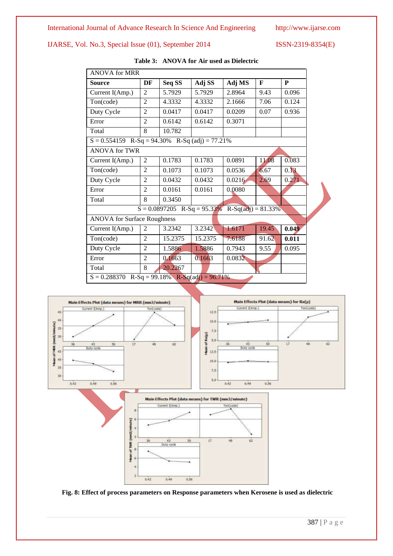| <b>ANOVA for MRR</b>                             |                |         |         |        |              |       |
|--------------------------------------------------|----------------|---------|---------|--------|--------------|-------|
| <b>Source</b>                                    | DF             | Seq SS  | Adj SS  | Adj MS | $\mathbf{F}$ | P     |
| Current I(Amp.)                                  | $\overline{2}$ | 5.7929  | 5.7929  | 2.8964 | 9.43         | 0.096 |
| Ton(code)                                        | $\overline{2}$ | 4.3332  | 4.3332  | 2.1666 | 7.06         | 0.124 |
| Duty Cycle                                       | $\overline{c}$ | 0.0417  | 0.0417  | 0.0209 | 0.07         | 0.936 |
| Error                                            | $\overline{c}$ | 0.6142  | 0.6142  | 0.3071 |              |       |
| Total                                            | 8              | 10.782  |         |        |              |       |
| $S = 0.554159$ R-Sq = 94.30% R-Sq (adj) = 77.21% |                |         |         |        |              |       |
| <b>ANOVA for TWR</b>                             |                |         |         |        |              |       |
| Current I(Amp.)                                  | 2              | 0.1783  | 0.1783  | 0.0891 | 11.08        | 0.083 |
| Ton(code)                                        | $\overline{2}$ | 0.1073  | 0.1073  | 0.0536 | 6.67         | 0.13  |
| Duty Cycle                                       | 2              | 0.0432  | 0.0432  | 0.0216 | 2.69         | 0.271 |
| Error                                            | $\overline{2}$ | 0.0161  | 0.0161  | 0.0080 |              |       |
| Total                                            | 8              | 0.3450  |         |        |              |       |
| $S = 0.0897205$ R-Sq = 95.33% R-Sq(adj) = 81.33% |                |         |         |        |              |       |
| <b>ANOVA</b> for Surface Roughness               |                |         |         |        |              |       |
| Current I(Amp.)                                  | 2              | 3.2342  | 3.2342  | 1.6171 | 19.45        | 0.049 |
| Ton(code)                                        | $\overline{2}$ | 15.2375 | 15.2375 | 7.6188 | 91.62        | 0.011 |
| Duty Cycle                                       | $\overline{2}$ | 1.5886  | 1.5886  | 0.7943 | 9.55         | 0.095 |
| Error                                            | $\overline{c}$ | 0.1663  | 0.1663  | 0.0832 |              |       |
| Total                                            | 8              | 20.2267 |         |        |              |       |
| $S = 0.288370$ R-Sq = 99.18% R-Sq(adj) = 96.71%  |                |         |         |        |              |       |







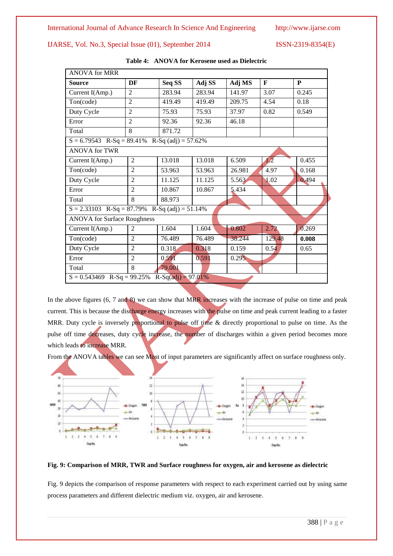| <b>ANOVA for MRR</b>                                 |                |        |        |        |                  |       |  |
|------------------------------------------------------|----------------|--------|--------|--------|------------------|-------|--|
| <b>Source</b>                                        | DF             | Seq SS | Adj SS | Adj MS | F                | P     |  |
| Current I(Amp.)                                      | $\overline{2}$ | 283.94 | 283.94 | 141.97 | 3.07             | 0.245 |  |
| Ton(code)                                            | $\overline{2}$ | 419.49 | 419.49 | 209.75 | 4.54             | 0.18  |  |
| Duty Cycle                                           | $\overline{2}$ | 75.93  | 75.93  | 37.97  | 0.82             | 0.549 |  |
| Error                                                | $\overline{2}$ | 92.36  | 92.36  | 46.18  |                  |       |  |
| Total                                                | 8              | 871.72 |        |        |                  |       |  |
| $S = 6.79543$ R-Sq = 89.41% R-Sq (adj) = 57.62%      |                |        |        |        |                  |       |  |
| <b>ANOVA for TWR</b>                                 |                |        |        |        |                  |       |  |
| Current I(Amp.)                                      | $\overline{2}$ | 13.018 | 13.018 | 6.509  | $\overline{1.2}$ | 0.455 |  |
| Ton(code)                                            | $\overline{2}$ | 53.963 | 53.963 | 26.981 | 4.97             | 0.168 |  |
| Duty Cycle                                           | $\overline{2}$ | 11.125 | 11.125 | 5.563  | 1.02             | 0.494 |  |
| Error                                                | $\overline{2}$ | 10.867 | 10.867 | 5.434  |                  |       |  |
| Total                                                | 8              | 88.973 |        |        |                  |       |  |
| $S = 2.33103$ R-Sq = 87.79% R-Sq (adj) = 51.14%      |                |        |        |        |                  |       |  |
| <b>ANOVA</b> for Surface Roughness                   |                |        |        |        |                  |       |  |
| Current I(Amp.)                                      | 2              | 1.604  | 1.604  | 0.802  | 2.72             | 0.269 |  |
| Ton(code)                                            | $\mathfrak{D}$ | 76.489 | 76.489 | 38.244 | 129.48           | 0.008 |  |
| Duty Cycle                                           | $\overline{2}$ | 0.318  | 0.318  | 0.159  | 0.54             | 0.65  |  |
| Error                                                | $\overline{2}$ | 0.591  | 0.591  | 0.295  |                  |       |  |
| Total                                                | 8              | 79.001 |        |        |                  |       |  |
| $R-Sq(adj) = 97.01%$<br>$S = 0.543469$ R-Sq = 99.25% |                |        |        |        |                  |       |  |

|  |  |  | Table 4: ANOVA for Kerosene used as Dielectric |
|--|--|--|------------------------------------------------|
|--|--|--|------------------------------------------------|

In the above figures (6, 7 and 8) we can show that MRR increases with the increase of pulse on time and peak current. This is because the discharge energy increases with the pulse on time and peak current leading to a faster MRR. Duty cycle is inversely proportional to pulse off time & directly proportional to pulse on time. As the pulse off time decreases, duty cycle increase, the number of discharges within a given period becomes more which leads to increase MRR.

From the ANOVA tables we can see Most of input parameters are significantly affect on surface roughness only.



# **Fig. 9: Comparison of MRR, TWR and Surface roughness for oxygen, air and kerosene as dielectric**

Fig. 9 depicts the comparison of response parameters with respect to each experiment carried out by using same process parameters and different dielectric medium viz. oxygen, air and kerosene.